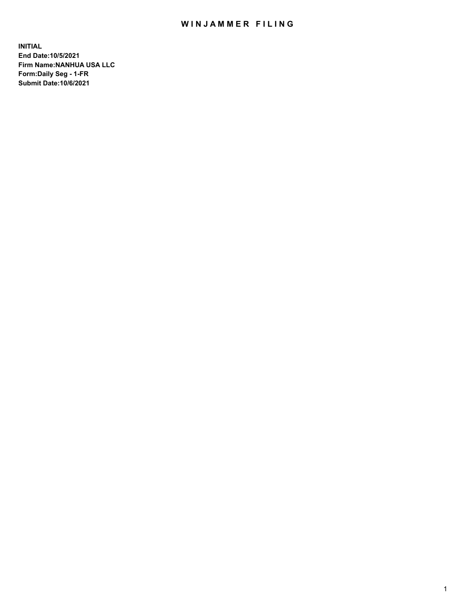## WIN JAMMER FILING

**INITIAL End Date:10/5/2021 Firm Name:NANHUA USA LLC Form:Daily Seg - 1-FR Submit Date:10/6/2021**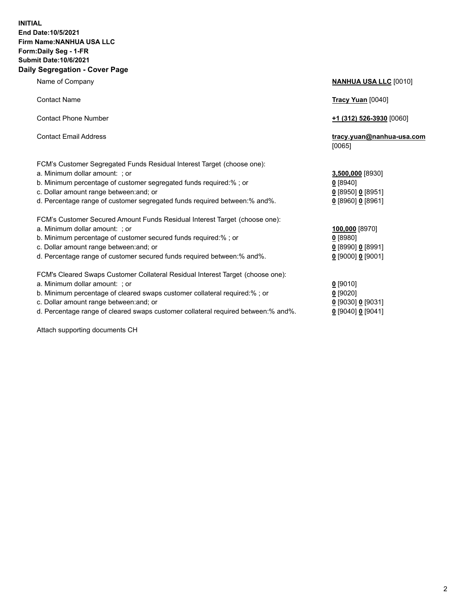## **INITIAL End Date:10/5/2021 Firm Name:NANHUA USA LLC Form:Daily Seg - 1-FR Submit Date:10/6/2021 Daily Segregation - Cover Page**

Name of Company **NANHUA USA LLC** [0010] Contact Name **Tracy Yuan** [0040] Contact Phone Number **+1 (312) 526-3930** [0060] Contact Email Address **tracy.yuan@nanhua-usa.com** [0065] FCM's Customer Segregated Funds Residual Interest Target (choose one): a. Minimum dollar amount: ; or **3,500,000** [8930] b. Minimum percentage of customer segregated funds required:% ; or **0** [8940] c. Dollar amount range between:and; or **0** [8950] **0** [8951] d. Percentage range of customer segregated funds required between:% and%. **0** [8960] **0** [8961] FCM's Customer Secured Amount Funds Residual Interest Target (choose one): a. Minimum dollar amount: ; or **100,000** [8970] b. Minimum percentage of customer secured funds required:% ; or **0** [8980] c. Dollar amount range between:and; or **0** [8990] **0** [8991] d. Percentage range of customer secured funds required between:% and%. **0** [9000] **0** [9001] FCM's Cleared Swaps Customer Collateral Residual Interest Target (choose one): a. Minimum dollar amount: ; or **0** [9010] b. Minimum percentage of cleared swaps customer collateral required:% ; or **0** [9020] c. Dollar amount range between:and; or **0** [9030] **0** [9031]

d. Percentage range of cleared swaps customer collateral required between:% and%. **0** [9040] **0** [9041]

Attach supporting documents CH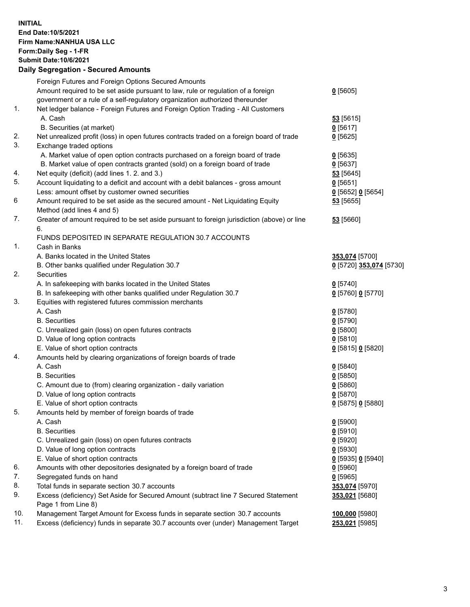## **INITIAL End Date:10/5/2021 Firm Name:NANHUA USA LLC Form:Daily Seg - 1-FR Submit Date:10/6/2021 Daily Segregation - Secured Amounts**

|     | Foreign Futures and Foreign Options Secured Amounts                                         |                          |
|-----|---------------------------------------------------------------------------------------------|--------------------------|
|     | Amount required to be set aside pursuant to law, rule or regulation of a foreign            | $0$ [5605]               |
|     | government or a rule of a self-regulatory organization authorized thereunder                |                          |
| 1.  | Net ledger balance - Foreign Futures and Foreign Option Trading - All Customers             |                          |
|     | A. Cash                                                                                     | 53 [5615]                |
|     | B. Securities (at market)                                                                   | $0$ [5617]               |
| 2.  | Net unrealized profit (loss) in open futures contracts traded on a foreign board of trade   | $0$ [5625]               |
| 3.  | Exchange traded options                                                                     |                          |
|     | A. Market value of open option contracts purchased on a foreign board of trade              | $0$ [5635]               |
|     | B. Market value of open contracts granted (sold) on a foreign board of trade                | $0$ [5637]               |
| 4.  | Net equity (deficit) (add lines 1. 2. and 3.)                                               | $53$ [5645]              |
| 5.  | Account liquidating to a deficit and account with a debit balances - gross amount           | $0$ [5651]               |
|     | Less: amount offset by customer owned securities                                            | $0$ [5652] $0$ [5654]    |
| 6   | Amount required to be set aside as the secured amount - Net Liquidating Equity              | 53 [5655]                |
|     | Method (add lines 4 and 5)                                                                  |                          |
| 7.  | Greater of amount required to be set aside pursuant to foreign jurisdiction (above) or line | 53 [5660]                |
|     | 6.                                                                                          |                          |
|     | FUNDS DEPOSITED IN SEPARATE REGULATION 30.7 ACCOUNTS                                        |                          |
| 1.  | Cash in Banks                                                                               |                          |
|     | A. Banks located in the United States                                                       | 353,074 [5700]           |
| 2.  | B. Other banks qualified under Regulation 30.7                                              | 0 [5720] 353,074 [5730]  |
|     | Securities                                                                                  |                          |
|     | A. In safekeeping with banks located in the United States                                   | $0$ [5740]               |
|     | B. In safekeeping with other banks qualified under Regulation 30.7                          | 0 [5760] 0 [5770]        |
| 3.  | Equities with registered futures commission merchants                                       |                          |
|     | A. Cash<br><b>B.</b> Securities                                                             | $0$ [5780]               |
|     |                                                                                             | $0$ [5790]               |
|     | C. Unrealized gain (loss) on open futures contracts<br>D. Value of long option contracts    | $0$ [5800]<br>$0$ [5810] |
|     | E. Value of short option contracts                                                          | 0 [5815] 0 [5820]        |
| 4.  | Amounts held by clearing organizations of foreign boards of trade                           |                          |
|     | A. Cash                                                                                     | $0$ [5840]               |
|     | <b>B.</b> Securities                                                                        | $0$ [5850]               |
|     | C. Amount due to (from) clearing organization - daily variation                             | 0[5860]                  |
|     | D. Value of long option contracts                                                           | $0$ [5870]               |
|     | E. Value of short option contracts                                                          | 0 [5875] 0 [5880]        |
| 5.  | Amounts held by member of foreign boards of trade                                           |                          |
|     | A. Cash                                                                                     | $0$ [5900]               |
|     | <b>B.</b> Securities                                                                        | $0$ [5910]               |
|     | C. Unrealized gain (loss) on open futures contracts                                         | $0$ [5920]               |
|     | D. Value of long option contracts                                                           | 0 [5930]                 |
|     | E. Value of short option contracts                                                          | 0 [5935] 0 [5940]        |
| 6.  | Amounts with other depositories designated by a foreign board of trade                      | $0$ [5960]               |
| 7.  | Segregated funds on hand                                                                    | 0[5965]                  |
| 8.  | Total funds in separate section 30.7 accounts                                               | 353,074 [5970]           |
| 9.  | Excess (deficiency) Set Aside for Secured Amount (subtract line 7 Secured Statement         | 353,021 [5680]           |
|     | Page 1 from Line 8)                                                                         |                          |
| 10. | Management Target Amount for Excess funds in separate section 30.7 accounts                 | 100,000 [5980]           |
| 11. | Excess (deficiency) funds in separate 30.7 accounts over (under) Management Target          | 253,021 [5985]           |
|     |                                                                                             |                          |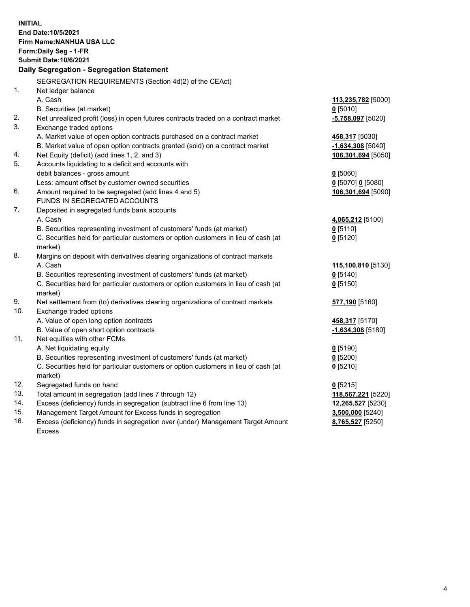| <b>INITIAL</b><br>End Date: 10/5/2021<br>Firm Name: NANHUA USA LLC<br>Form: Daily Seg - 1-FR                                                      |                                      |  |  |  |
|---------------------------------------------------------------------------------------------------------------------------------------------------|--------------------------------------|--|--|--|
| <b>Submit Date: 10/6/2021</b><br>Daily Segregation - Segregation Statement                                                                        |                                      |  |  |  |
|                                                                                                                                                   |                                      |  |  |  |
| SEGREGATION REQUIREMENTS (Section 4d(2) of the CEAct)<br>1.<br>Net ledger balance                                                                 |                                      |  |  |  |
| A. Cash                                                                                                                                           | 113,235,782 [5000]                   |  |  |  |
| B. Securities (at market)<br>$0$ [5010]                                                                                                           |                                      |  |  |  |
| 2.<br>Net unrealized profit (loss) in open futures contracts traded on a contract market                                                          | $-5,758,097$ [5020]                  |  |  |  |
| 3.<br>Exchange traded options                                                                                                                     |                                      |  |  |  |
| A. Market value of open option contracts purchased on a contract market                                                                           | 458,317 [5030]                       |  |  |  |
| B. Market value of open option contracts granted (sold) on a contract market                                                                      | $-1,634,308$ [5040]                  |  |  |  |
| Net Equity (deficit) (add lines 1, 2, and 3)<br>4.                                                                                                | 106,301,694 [5050]                   |  |  |  |
| 5.<br>Accounts liquidating to a deficit and accounts with                                                                                         |                                      |  |  |  |
| debit balances - gross amount<br>$0$ [5060]                                                                                                       |                                      |  |  |  |
| Less: amount offset by customer owned securities                                                                                                  | 0 [5070] 0 [5080]                    |  |  |  |
| Amount required to be segregated (add lines 4 and 5)<br>6.                                                                                        | 106,301,694 [5090]                   |  |  |  |
| FUNDS IN SEGREGATED ACCOUNTS                                                                                                                      |                                      |  |  |  |
| 7.<br>Deposited in segregated funds bank accounts                                                                                                 |                                      |  |  |  |
| A. Cash                                                                                                                                           | 4,065,212 [5100]                     |  |  |  |
| B. Securities representing investment of customers' funds (at market)<br>$0$ [5110]                                                               |                                      |  |  |  |
| C. Securities held for particular customers or option customers in lieu of cash (at<br>$0$ [5120]                                                 |                                      |  |  |  |
| market)                                                                                                                                           |                                      |  |  |  |
| 8.<br>Margins on deposit with derivatives clearing organizations of contract markets                                                              |                                      |  |  |  |
| A. Cash                                                                                                                                           | 115,100,810 [5130]                   |  |  |  |
| B. Securities representing investment of customers' funds (at market)<br>$0$ [5140]                                                               |                                      |  |  |  |
| C. Securities held for particular customers or option customers in lieu of cash (at<br>$0$ [5150]                                                 |                                      |  |  |  |
| market)                                                                                                                                           |                                      |  |  |  |
| 9.<br>Net settlement from (to) derivatives clearing organizations of contract markets                                                             | 577,190 [5160]                       |  |  |  |
| 10.<br>Exchange traded options                                                                                                                    |                                      |  |  |  |
| A. Value of open long option contracts                                                                                                            | 458,317 [5170]                       |  |  |  |
| B. Value of open short option contracts                                                                                                           | $-1,634,308$ [5180]                  |  |  |  |
| 11.<br>Net equities with other FCMs                                                                                                               |                                      |  |  |  |
| A. Net liquidating equity<br>$Q$ [5190]                                                                                                           |                                      |  |  |  |
| B. Securities representing investment of customers' funds (at market)<br>$0$ [5200]                                                               |                                      |  |  |  |
| C. Securities held for particular customers or option customers in lieu of cash (at<br>$0$ [5210]                                                 |                                      |  |  |  |
| market)                                                                                                                                           |                                      |  |  |  |
| 12.<br>Segregated funds on hand<br>$0$ [5215]<br>13.                                                                                              |                                      |  |  |  |
| Total amount in segregation (add lines 7 through 12)<br>14.                                                                                       | 118,567,221 [5220]                   |  |  |  |
| Excess (deficiency) funds in segregation (subtract line 6 from line 13)<br>15.                                                                    | 12,265,527 [5230]                    |  |  |  |
| Management Target Amount for Excess funds in segregation<br>16.<br>Excess (deficiency) funds in segregation over (under) Management Target Amount | 3,500,000 [5240]<br>8,765,527 [5250] |  |  |  |
| <b>Excess</b>                                                                                                                                     |                                      |  |  |  |